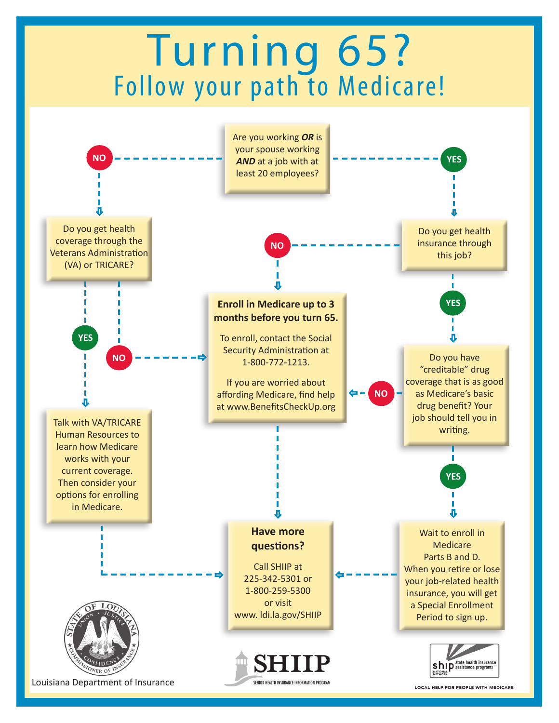# Turning 65? Follow your path to Medicare!